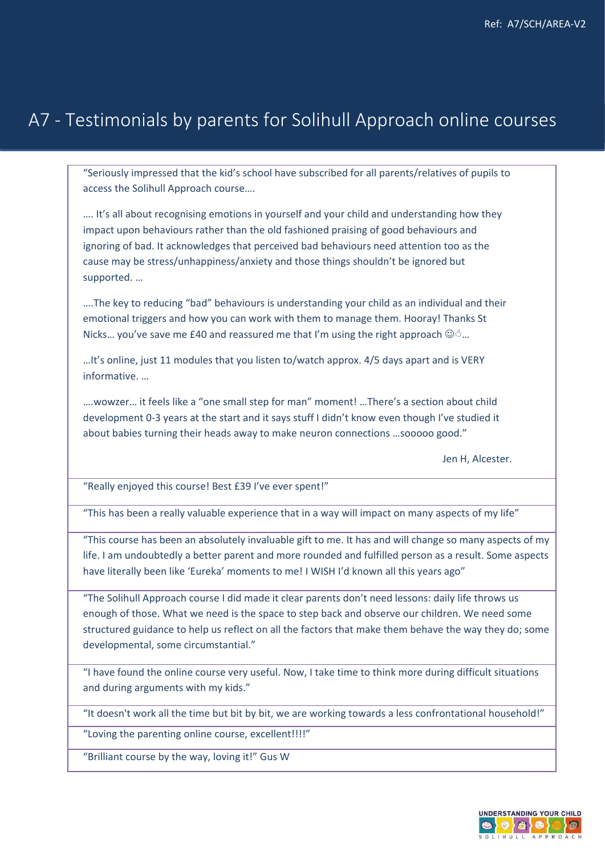## A7 - Testimonials by parents for Solihull Approach online courses

"Seriously impressed that the kid's school have subscribed for all parents/relatives of pupils to access the Solihull Approach course….

…. It's all about recognising emotions in yourself and your child and understanding how they impact upon behaviours rather than the old fashioned praising of good behaviours and ignoring of bad. It acknowledges that perceived bad behaviours need attention too as the cause may be stress/unhappiness/anxiety and those things shouldn't be ignored but supported. …

….The key to reducing "bad" behaviours is understanding your child as an individual and their emotional triggers and how you can work with them to manage them. Hooray! Thanks St Nicks... you've save me £40 and reassured me that I'm using the right approach  $\mathbb{Q}$ ...

…It's online, just 11 modules that you listen to/watch approx. 4/5 days apart and is VERY informative. …

….wowzer… it feels like a "one small step for man" moment! …There's a section about child development 0-3 years at the start and it says stuff I didn't know even though I've studied it about babies turning their heads away to make neuron connections …sooooo good."

Jen H, Alcester.

"Really enjoyed this course! Best £39 I've ever spent!"

"This has been a really valuable experience that in a way will impact on many aspects of my life"

"This course has been an absolutely invaluable gift to me. It has and will change so many aspects of my life. I am undoubtedly a better parent and more rounded and fulfilled person as a result. Some aspects have literally been like 'Eureka' moments to me! I WISH I'd known all this years ago"

"The Solihull Approach course I did made it clear parents don't need lessons: daily life throws us enough of those. What we need is the space to step back and observe our children. We need some structured guidance to help us reflect on all the factors that make them behave the way they do; some developmental, some circumstantial."

"I have found the online course very useful. Now, I take time to think more during difficult situations and during arguments with my kids."

"It doesn't work all the time but bit by bit, we are working towards a less confrontational household!"

"Loving the parenting online course, excellent!!!!"

"Brilliant course by the way, loving it!" Gus W